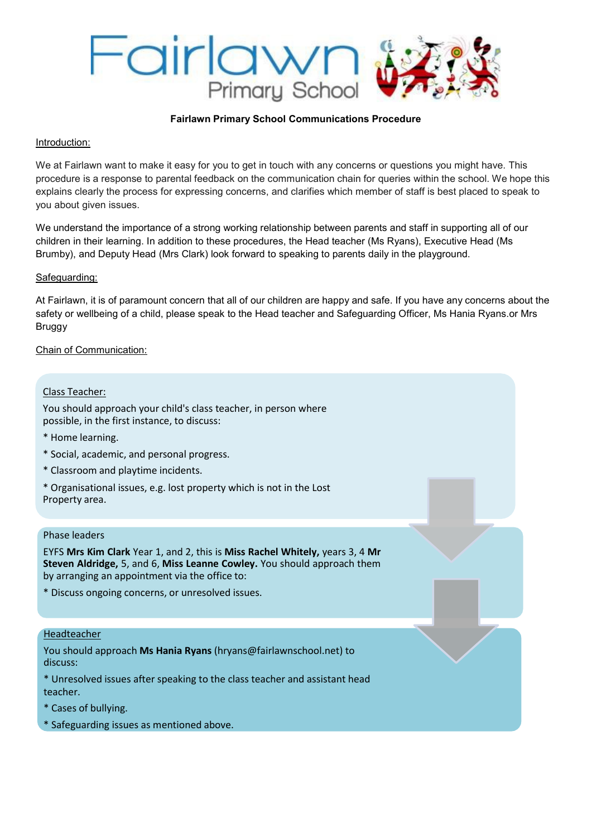

#### **Fairlawn Primary School Communications Procedure**

# Introduction:

We at Fairlawn want to make it easy for you to get in touch with any concerns or questions you might have. This procedure is a response to parental feedback on the communication chain for queries within the school. We hope this explains clearly the process for expressing concerns, and clarifies which member of staff is best placed to speak to you about given issues.

We understand the importance of a strong working relationship between parents and staff in supporting all of our children in their learning. In addition to these procedures, the Head teacher (Ms Ryans), Executive Head (Ms Brumby), and Deputy Head (Mrs Clark) look forward to speaking to parents daily in the playground.

## Safeguarding:

At Fairlawn, it is of paramount concern that all of our children are happy and safe. If you have any concerns about the safety or wellbeing of a child, please speak to the Head teacher and Safeguarding Officer, Ms Hania Ryans.or Mrs Bruggy

# Chain of Communication:

### Class Teacher:

You should approach your child's class teacher, in person where possible, in the first instance, to discuss:

- \* Home learning.
- \* Social, academic, and personal progress.
- \* Classroom and playtime incidents.
- \* Organisational issues, e.g. lost property which is not in the Lost Property area.

#### Phase leaders

EYFS **Mrs Kim Clark** Year 1, and 2, this is **Miss Rachel Whitely,** years 3, 4 **Mr Steven Aldridge,** 5, and 6, **Miss Leanne Cowley.** You should approach them by arranging an appointment via the office to:

\* Discuss ongoing concerns, or unresolved issues.

#### Headteacher

You should approach **Ms Hania Ryans** (hryans@fairlawnschool.net) to discuss:

\* Unresolved issues after speaking to the class teacher and assistant head teacher.

- \* Cases of bullying.
- \* Safeguarding issues as mentioned above.